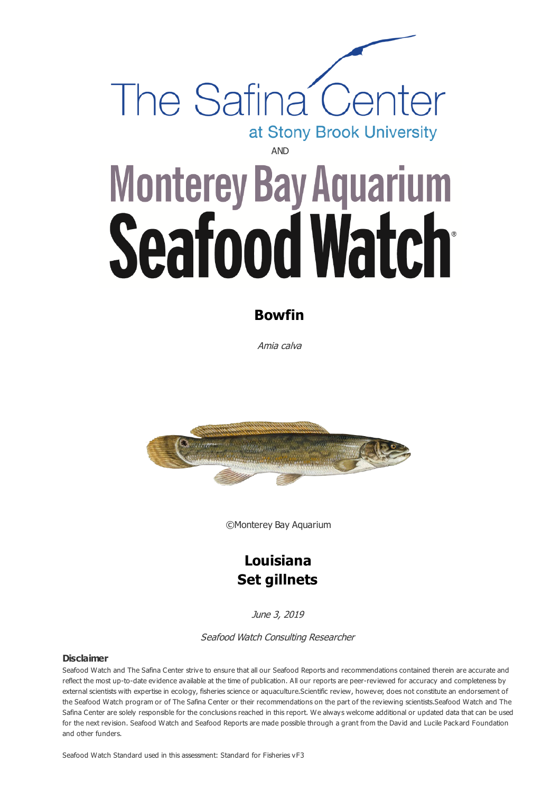

# **Monterey Bay Aquarium** Seafood Watch

# **Bowfin**

Amia calva



©Monterey Bay Aquarium

# **Louisiana Set gillnets**

June 3, 2019

#### Seafood Watch Consulting Researcher

#### **Disclaimer**

Seafood Watch and The Safina Center strive to ensure that all our Seafood Reports and recommendations contained therein are accurate and reflect the most up-to-date evidence available at the time of publication. All our reports are peer-reviewed for accuracy and completeness by external scientists with expertise in ecology, fisheries science or aquaculture.Scientific review, however, does not constitute an endorsement of the Seafood Watch program or of The Safina Center or their recommendations on the part of the reviewing scientists.Seafood Watch and The Safina Center are solely responsible for the conclusions reached in this report. We always welcome additional or updated data that can be used for the next revision. Seafood Watch and Seafood Reports are made possible through a grant from the David and Lucile Packard Foundation and other funders.

Seafood Watch Standard used in this assessment: Standard for Fisheries vF3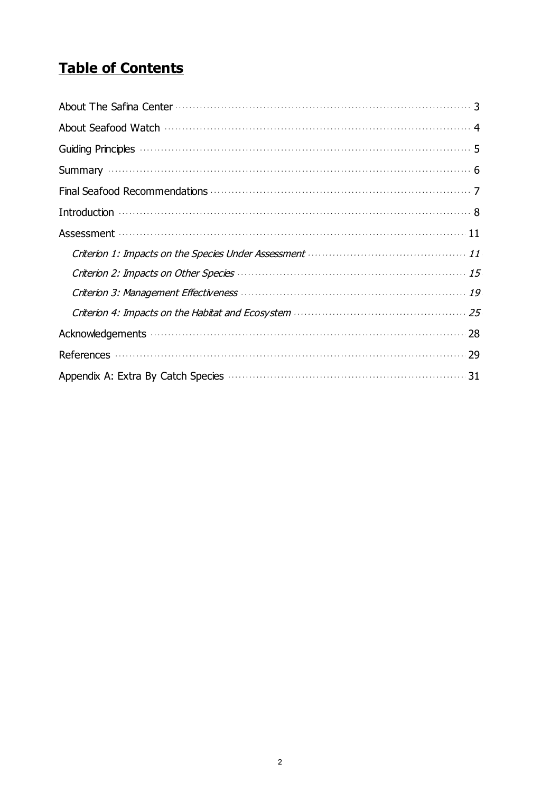# **Table of Contents**

| Assessment (11) and the contract of the contract of the contract of the contract of the contract of the contract of the contract of the contract of the contract of the contract of the contract of the contract of the contra |
|--------------------------------------------------------------------------------------------------------------------------------------------------------------------------------------------------------------------------------|
|                                                                                                                                                                                                                                |
|                                                                                                                                                                                                                                |
| Criterion 2: Impacts on Other Species <b>Communities</b> and the contract of the 15                                                                                                                                            |
|                                                                                                                                                                                                                                |
|                                                                                                                                                                                                                                |
|                                                                                                                                                                                                                                |
|                                                                                                                                                                                                                                |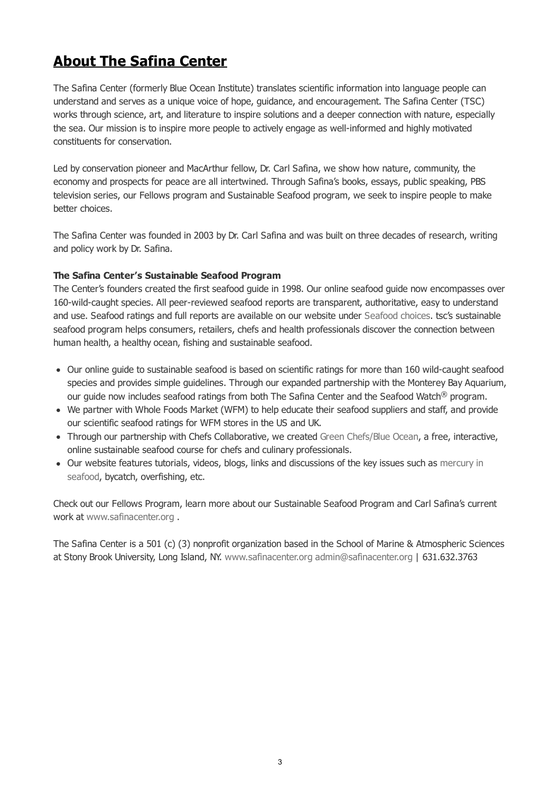# **About The Safina Center**

The Safina Center (formerly Blue Ocean Institute) translates scientific information into language people can understand and serves as a unique voice of hope, guidance, and encouragement. The Safina Center (TSC) works through science, art, and literature to inspire solutions and a deeper connection with nature, especially the sea. Our mission is to inspire more people to actively engage as well-informed and highly motivated constituents for conservation.

Led by conservation pioneer and MacArthur fellow, Dr. Carl Safina, we show how nature, community, the economy and prospects for peace are all intertwined. Through Safina's books, essays, public speaking, PBS television series, our Fellows program and Sustainable Seafood program, we seek to inspire people to make better choices.

The Safina Center was founded in 2003 by Dr. Carl Safina and was built on three decades of research, writing and policy work by Dr. Safina.

### **The Safina Center's Sustainable Seafood Program**

The Center's founders created the first seafood guide in 1998. Our online seafood guide now encompasses over 160-wild-caught species. All peer-reviewed seafood reports are transparent, authoritative, easy to understand and use. Seafood ratings and full reports are available on our website under [Seafood choices](http://www.safinacenter.org/seafoods). tsc's sustainable seafood program helps consumers, retailers, chefs and health professionals discover the connection between human health, a healthy ocean, fishing and sustainable seafood.

- Our online guide to sustainable seafood is based on scientific ratings for more than 160 wild-caught seafood species and provides simple guidelines. Through our expanded partnership with the Monterey Bay Aquarium, our guide now includes seafood ratings from both The Safina Center and the Seafood Watch® program.
- We partner with Whole Foods Market (WFM) to help educate their seafood suppliers and staff, and provide our scientific seafood ratings for WFM stores in the US and UK.
- Through our partnership with Chefs Collaborative, we created [Green Chefs/Blue Ocean](http://safinacenter.org/programs/sustainable-seafood-program/green-chefsblue-ocean-online-course/), a free, interactive, online sustainable seafood course for chefs and culinary professionals.
- [Our website features tutorials, videos, blogs, links and discussions of the key issues such as mercury in](http://safinacenter.org/issues/mercury-seafood/) seafood, bycatch, overfishing, etc.

Check out our Fellows Program, learn more about our Sustainable Seafood Program and Carl Safina's current work at [www.safinacenter.org](http://www.safinacenter.org) .

The Safina Center is a 501 (c) (3) nonprofit organization based in the School of Marine & Atmospheric Sciences at Stony Brook University, Long Island, NY. [www.safinacenter.org](http://www.safinacenter.org) [admin@safinacenter.org](mailto:admin@safinacenter.org) | 631.632.3763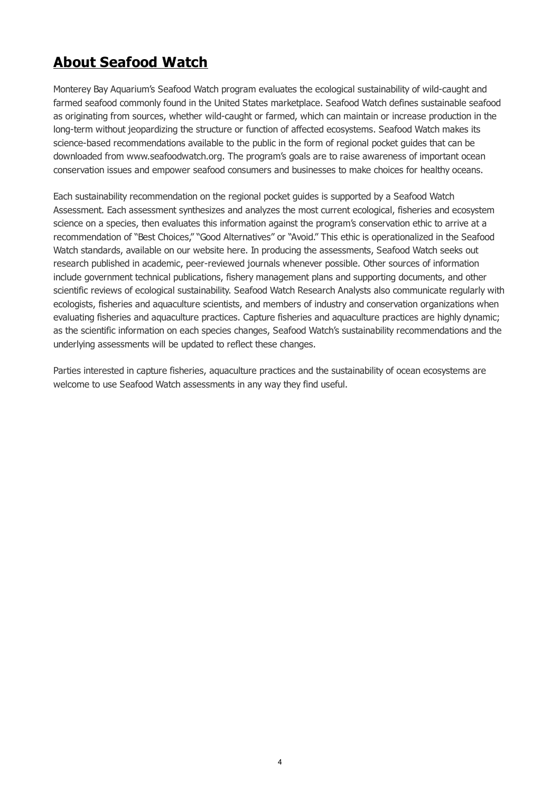# <span id="page-3-0"></span>**About Seafood Watch**

Monterey Bay Aquarium's Seafood Watch program evaluates the ecological sustainability of wild-caught and farmed seafood commonly found in the United States marketplace. Seafood Watch defines sustainable seafood as originating from sources, whether wild-caught or farmed, which can maintain or increase production in the long-term without jeopardizing the structure or function of affected ecosystems. Seafood Watch makes its science-based recommendations available to the public in the form of regional pocket guides that can be downloaded from www.seafoodwatch.org. The program's goals are to raise awareness of important ocean conservation issues and empower seafood consumers and businesses to make choices for healthy oceans.

Each sustainability recommendation on the regional pocket guides is supported by a Seafood Watch Assessment. Each assessment synthesizes and analyzes the most current ecological, fisheries and ecosystem science on a species, then evaluates this information against the program's conservation ethic to arrive at a recommendation of "Best Choices," "Good Alternatives" or "Avoid." This ethic is operationalized in the Seafood Watch standards, available on our website here. In producing the assessments, Seafood Watch seeks out research published in academic, peer-reviewed journals whenever possible. Other sources of information include government technical publications, fishery management plans and supporting documents, and other scientific reviews of ecological sustainability. Seafood Watch Research Analysts also communicate regularly with ecologists, fisheries and aquaculture scientists, and members of industry and conservation organizations when evaluating fisheries and aquaculture practices. Capture fisheries and aquaculture practices are highly dynamic; as the scientific information on each species changes, Seafood Watch's sustainability recommendations and the underlying assessments will be updated to reflect these changes.

Parties interested in capture fisheries, aquaculture practices and the sustainability of ocean ecosystems are welcome to use Seafood Watch assessments in any way they find useful.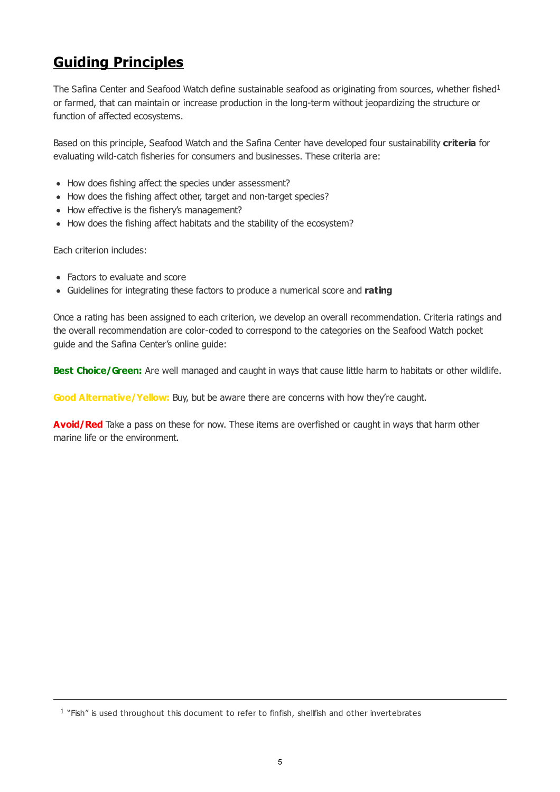# <span id="page-4-0"></span>**Guiding Principles**

The Safina Center and Seafood Watch define sustainable seafood as originating from sources, whether fished<sup>1</sup> or farmed, that can maintain or increase production in the long-term without jeopardizing the structure or function of affected ecosystems.

Based on this principle, Seafood Watch and the Safina Center have developed four sustainability **criteria** for evaluating wild-catch fisheries for consumers and businesses. These criteria are:

- How does fishing affect the species under assessment?
- How does the fishing affect other, target and non-target species?
- How effective is the fishery's management?
- How does the fishing affect habitats and the stability of the ecosystem?

Each criterion includes:

- Factors to evaluate and score
- Guidelines for integrating these factors to produce a numerical score and **rating**

Once a rating has been assigned to each criterion, we develop an overall recommendation. Criteria ratings and the overall recommendation are color-coded to correspond to the categories on the Seafood Watch pocket guide and the Safina Center's online guide:

**Best Choice/Green:** Are well managed and caught in ways that cause little harm to habitats or other wildlife.

**Good Alternative/Yellow:** Buy, but be aware there are concerns with how they're caught.

**Avoid/Red** Take a pass on these for now. These items are overfished or caught in ways that harm other marine life or the environment.

 $<sup>1</sup>$  "Fish" is used throughout this document to refer to finfish, shellfish and other invertebrates</sup>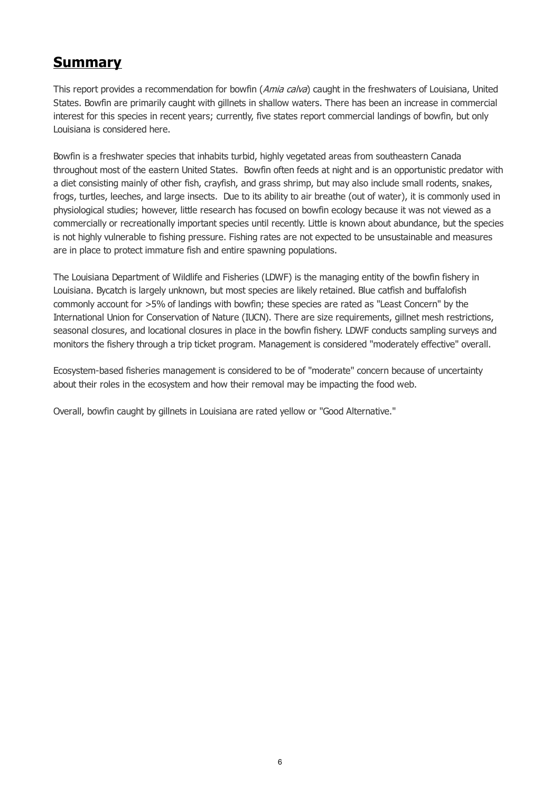# <span id="page-5-0"></span>**Summary**

This report provides a recommendation for bowfin (Amia calva) caught in the freshwaters of Louisiana, United States. Bowfin are primarily caught with gillnets in shallow waters. There has been an increase in commercial interest for this species in recent years; currently, five states report commercial landings of bowfin, but only Louisiana is considered here.

Bowfin is a freshwater species that inhabits turbid, highly vegetated areas from southeastern Canada throughout most of the eastern United States. Bowfin often feeds at night and is an opportunistic predator with a diet consisting mainly of other fish, crayfish, and grass shrimp, but may also include small rodents, snakes, frogs, turtles, leeches, and large insects. Due to its ability to air breathe (out of water), it is commonly used in physiological studies; however, little research has focused on bowfin ecology because it was not viewed as a commercially or recreationally important species until recently. Little is known about abundance, but the species is not highly vulnerable to fishing pressure. Fishing rates are not expected to be unsustainable and measures are in place to protect immature fish and entire spawning populations.

The Louisiana Department of Wildlife and Fisheries (LDWF) is the managing entity of the bowfin fishery in Louisiana. Bycatch is largely unknown, but most species are likely retained. Blue catfish and buffalofish commonly account for >5% of landings with bowfin; these species are rated as "Least Concern" by the International Union for Conservation of Nature (IUCN). There are size requirements, gillnet mesh restrictions, seasonal closures, and locational closures in place in the bowfin fishery. LDWF conducts sampling surveys and monitors the fishery through a trip ticket program. Management is considered "moderately effective" overall.

Ecosystem-based fisheries management is considered to be of "moderate" concern because of uncertainty about their roles in the ecosystem and how their removal may be impacting the food web.

Overall, bowfin caught by gillnets in Louisiana are rated yellow or "Good Alternative."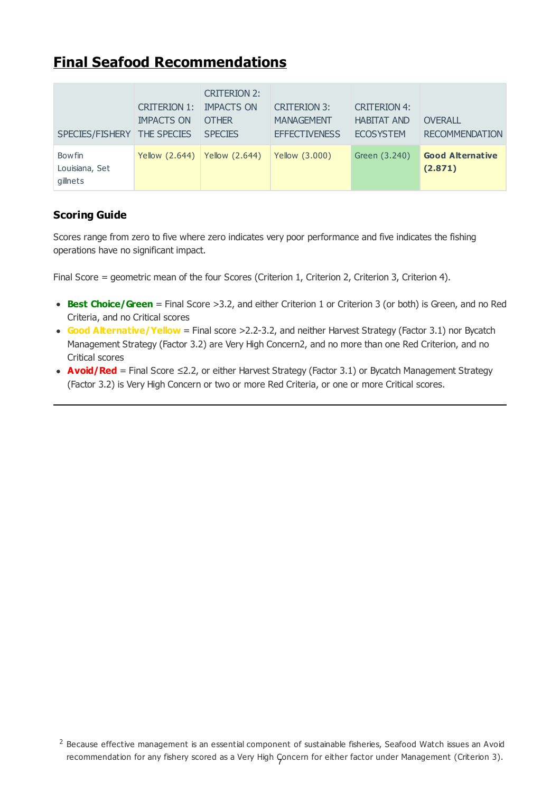# <span id="page-6-0"></span>**Final Seafood Recommendations**

| SPECIES/FISHERY                             | CRITERION 1:<br><b>IMPACTS ON</b><br><b>THE SPECIES</b> | <b>CRITERION 2:</b><br><b>IMPACTS ON</b><br><b>OTHER</b><br><b>SPECIES</b> | <b>CRITERION 3:</b><br><b>MANAGEMENT</b><br><b>EFFECTIVENESS</b> | <b>CRITERION 4:</b><br><b>HABITAT AND</b><br><b>ECOSYSTEM</b> | <b>OVERALL</b><br><b>RECOMMENDATION</b> |
|---------------------------------------------|---------------------------------------------------------|----------------------------------------------------------------------------|------------------------------------------------------------------|---------------------------------------------------------------|-----------------------------------------|
| <b>Bowfin</b><br>Louisiana, Set<br>gillnets | Yellow (2.644)                                          | <b>Yellow (2.644)</b>                                                      | Yellow (3.000)                                                   | Green (3.240)                                                 | <b>Good Alternative</b><br>(2.871)      |

# **Scoring Guide**

Scores range from zero to five where zero indicates very poor performance and five indicates the fishing operations have no significant impact.

Final Score = geometric mean of the four Scores (Criterion 1, Criterion 2, Criterion 3, Criterion 4).

- **Best Choice/Green** = Final Score >3.2, and either Criterion 1 or Criterion 3 (or both) is Green, and no Red Criteria, and no Critical scores
- Good Alternative/ Yellow = Final score >2.2-3.2, and neither Harvest Strategy (Factor 3.1) nor Bycatch Management Strategy (Factor 3.2) are Very High Concern2, and no more than one Red Criterion, and no Critical scores
- **Avoid/Red** = Final Score ≤2.2, or either Harvest Strategy (Factor 3.1) or Bycatch Management Strategy (Factor 3.2) is Very High Concern or two or more Red Criteria, or one or more Critical scores.

 $2$  Because effective management is an essential component of sustainable fisheries, Seafood Watch issues an Avoid recommendation for any fishery scored as a Very High Çoncern for either factor under Management (Criterion 3).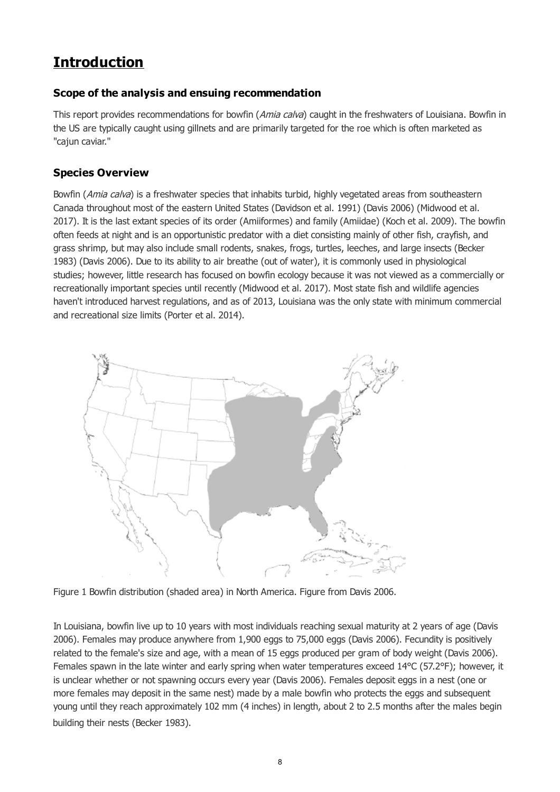# <span id="page-7-0"></span>**Introduction**

# **Scope of the analysis and ensuing recommendation**

This report provides recommendations for bowfin (Amia calva) caught in the freshwaters of Louisiana. Bowfin in the US are typically caught using gillnets and are primarily targeted for the roe which is often marketed as "cajun caviar."

# **Species Overview**

Bowfin (Amia calva) is a freshwater species that inhabits turbid, highly vegetated areas from southeastern Canada throughout most of the eastern United States (Davidson et al. 1991) (Davis 2006) (Midwood et al. 2017). It is the last extant species of its order (Amiiformes) and family (Amiidae) (Koch et al. 2009). The bowfin often feeds at night and is an opportunistic predator with a diet consisting mainly of other fish, crayfish, and grass shrimp, but may also include small rodents, snakes, frogs, turtles, leeches, and large insects (Becker 1983) (Davis 2006). Due to its ability to air breathe (out of water), it is commonly used in physiological studies; however, little research has focused on bowfin ecology because it was not viewed as a commercially or recreationally important species until recently (Midwood et al. 2017). Most state fish and wildlife agencies haven't introduced harvest regulations, and as of 2013, Louisiana was the only state with minimum commercial and recreational size limits (Porter et al. 2014).



Figure 1 Bowfin distribution (shaded area) in North America. Figure from Davis 2006.

In Louisiana, bowfin live up to 10 years with most individuals reaching sexual maturity at 2 years of age (Davis 2006). Females may produce anywhere from 1,900 eggs to 75,000 eggs (Davis 2006). Fecundity is positively related to the female's size and age, with a mean of 15 eggs produced per gram of body weight (Davis 2006). Females spawn in the late winter and early spring when water temperatures exceed 14°C (57.2°F); however, it is unclear whether or not spawning occurs every year (Davis 2006). Females deposit eggs in a nest (one or more females may deposit in the same nest) made by a male bowfin who protects the eggs and subsequent young until they reach approximately 102 mm (4 inches) in length, about 2 to 2.5 months after the males begin building their nests (Becker 1983).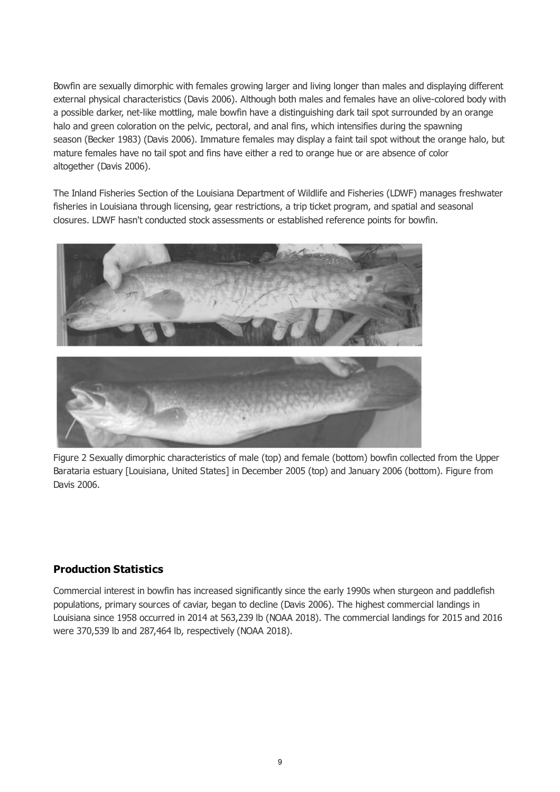<span id="page-8-0"></span>Bowfin are sexually dimorphic with females growing larger and living longer than males and displaying different external physical characteristics (Davis 2006). Although both males and females have an olive-colored body with a possible darker, net-like mottling, male bowfin have a distinguishing dark tail spot surrounded by an orange halo and green coloration on the pelvic, pectoral, and anal fins, which intensifies during the spawning season (Becker 1983) (Davis 2006). Immature females may display a faint tail spot without the orange halo, but mature females have no tail spot and fins have either a red to orange hue or are absence of color altogether (Davis 2006).

The Inland Fisheries Section of the Louisiana Department of Wildlife and Fisheries (LDWF) manages freshwater fisheries in Louisiana through licensing, gear restrictions, a trip ticket program, and spatial and seasonal closures. LDWF hasn't conducted stock assessments or established reference points for bowfin.



Figure 2 Sexually dimorphic characteristics of male (top) and female (bottom) bowfin collected from the Upper Barataria estuary [Louisiana, United States] in December 2005 (top) and January 2006 (bottom). Figure from Davis 2006.

# **Production Statistics**

Commercial interest in bowfin has increased significantly since the early 1990s when sturgeon and paddlefish populations, primary sources of caviar, began to decline (Davis 2006). The highest commercial landings in Louisiana since 1958 occurred in 2014 at 563,239 lb (NOAA 2018). The commercial landings for 2015 and 2016 were 370,539 lb and 287,464 lb, respectively (NOAA 2018).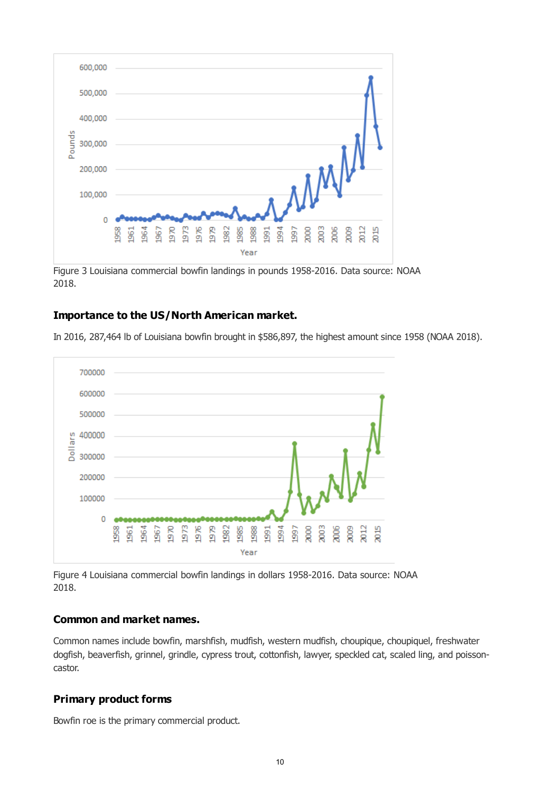

Figure 3 Louisiana commercial bowfin landings in pounds 1958-2016. Data source: NOAA 2018.

## **Importance to the US/North American market.**

In 2016, 287,464 lb of Louisiana bowfin brought in \$586,897, the highest amount since 1958 (NOAA 2018).



Figure 4 Louisiana commercial bowfin landings in dollars 1958-2016. Data source: NOAA 2018.

## **Common and market names.**

Common names include bowfin, marshfish, mudfish, western mudfish, choupique, choupiquel, freshwater dogfish, beaverfish, grinnel, grindle, cypress trout, cottonfish, lawyer, speckled cat, scaled ling, and poissoncastor.

# **Primary product forms**

Bowfin roe is the primary commercial product.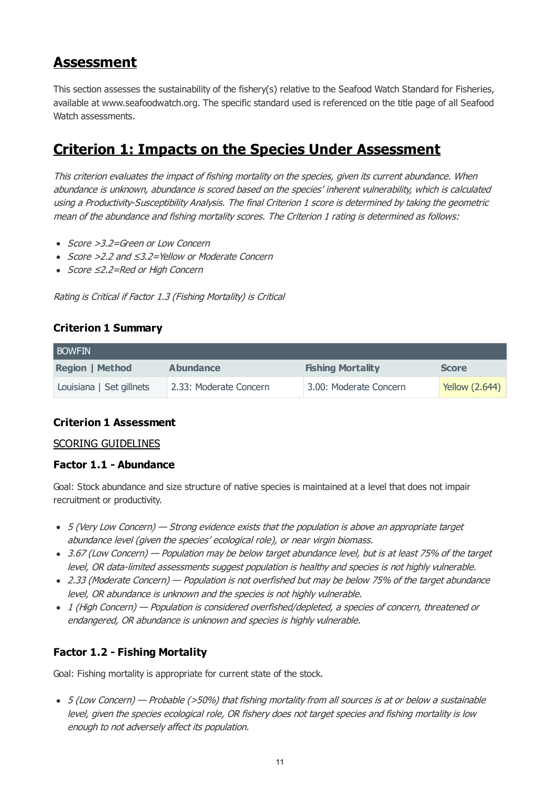# **Assessment**

This section assesses the sustainability of the fishery(s) relative to the Seafood Watch Standard for Fisheries, available at www.seafoodwatch.org. The specific standard used is referenced on the title page of all Seafood Watch assessments.

# **Criterion 1: Impacts on the Species Under Assessment**

This criterion evaluates the impact of fishing mortality on the species, given its current abundance. When abundance is unknown, abundance is scored based on the species' inherent vulnerability, which is calculated using a Productivity-Susceptibility Analysis. The final Criterion 1 score is determined by taking the geometric mean of the abundance and fishing mortality scores. The Criterion 1 rating is determined as follows:

- Score > 3.2=Green or Low Concern
- Score >2.2 and ≤3.2=Yellow or Moderate Concern
- Score ≤2.2=Red or High Concern

Rating is Critical if Factor 1.3 (Fishing Mortality) is Critical

# **Criterion 1 Summary**

| <b>BOWFIN</b>            |                        |                          |                |  |  |  |  |
|--------------------------|------------------------|--------------------------|----------------|--|--|--|--|
| <b>Region   Method</b>   | <b>Abundance</b>       | <b>Fishing Mortality</b> | <b>Score</b>   |  |  |  |  |
| Louisiana   Set gillnets | 2.33: Moderate Concern | 3.00: Moderate Concern   | Yellow (2.644) |  |  |  |  |

# **Criterion 1 Assessment**

### SCORING GUIDELINES

### **Factor 1.1 - Abundance**

Goal: Stock abundance and size structure of native species is maintained at a level that does not impair recruitment or productivity.

- 5 (Very Low Concern) Strong evidence exists that the population is above an appropriate target abundance level (given the species' ecological role), or near virgin biomass.
- 3.67 (Low Concern) Population may be below target abundance level, but is at least 75% of the target level, OR data-limited assessments suggest population is healthy and species is not highly vulnerable.
- 2.33 (Moderate Concern) Population is not overfished but may be below 75% of the target abundance level, OR abundance is unknown and the species is not highly vulnerable.
- 1 (High Concern) Population is considered overfished/depleted, a species of concern, threatened or endangered, OR abundance is unknown and species is highly vulnerable.

# **Factor 1.2 - Fishing Mortality**

Goal: Fishing mortality is appropriate for current state of the stock.

5 (Low Concern) — Probable (>50%) that fishing mortality from all sources is at or below a sustainable level, given the species ecological role, OR fishery does not target species and fishing mortality is low enough to not adversely affect its population.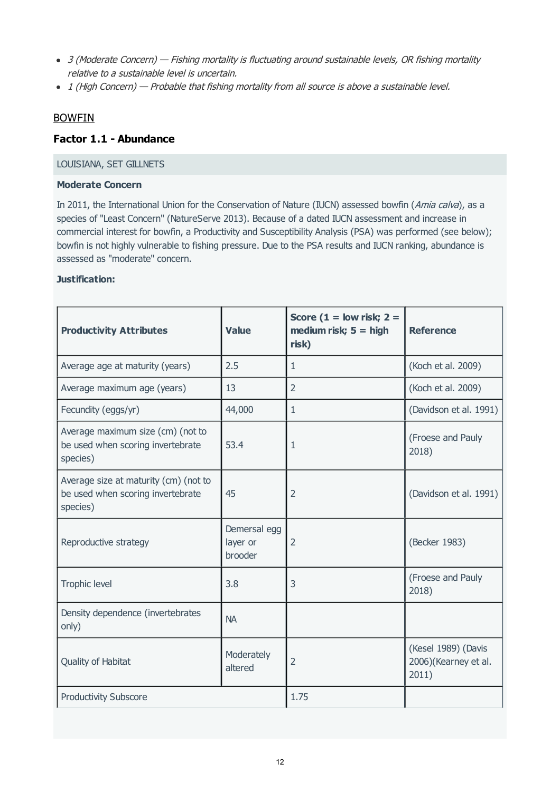- <span id="page-11-0"></span>• 3 (Moderate Concern) — Fishing mortality is fluctuating around sustainable levels, OR fishing mortality relative to a sustainable level is uncertain.
- 1 (High Concern) Probable that fishing mortality from all source is above a sustainable level.

## BOWFIN

# <span id="page-11-1"></span>**Factor 1.1 - Abundance**

#### LOUISIANA, SET GILLNETS

#### **Moderate Concern**

In 2011, the International Union for the Conservation of Nature (IUCN) assessed bowfin (Amia calva), as a species of "Least Concern" (NatureServe 2013). Because of a dated IUCN assessment and increase in commercial interest for bowfin, a Productivity and Susceptibility Analysis (PSA) was performed (see below); bowfin is not highly vulnerable to fishing pressure. Due to the PSA results and IUCN ranking, abundance is assessed as "moderate" concern.

#### **Justification:**

| <b>Productivity Attributes</b>                                                         | <b>Value</b>                        | Score ( $1 =$ low risk; $2 =$<br>medium risk; $5 = high$<br>risk) | <b>Reference</b>                                     |
|----------------------------------------------------------------------------------------|-------------------------------------|-------------------------------------------------------------------|------------------------------------------------------|
| Average age at maturity (years)                                                        | 2.5                                 | 1                                                                 | (Koch et al. 2009)                                   |
| Average maximum age (years)                                                            | 13                                  | $\overline{2}$                                                    | (Koch et al. 2009)                                   |
| Fecundity (eggs/yr)                                                                    | 44,000                              | 1                                                                 | (Davidson et al. 1991)                               |
| Average maximum size (cm) (not to<br>be used when scoring invertebrate<br>species)     | 53.4                                | 1                                                                 | (Froese and Pauly<br>2018)                           |
| Average size at maturity (cm) (not to<br>be used when scoring invertebrate<br>species) | 45                                  | $\overline{2}$                                                    | (Davidson et al. 1991)                               |
| Reproductive strategy                                                                  | Demersal egg<br>layer or<br>brooder | $\overline{2}$                                                    | (Becker 1983)                                        |
| Trophic level                                                                          | 3.8                                 | 3                                                                 | (Froese and Pauly<br>2018)                           |
| Density dependence (invertebrates<br>only)                                             | <b>NA</b>                           |                                                                   |                                                      |
| Quality of Habitat                                                                     | Moderately<br>altered               | $\overline{2}$                                                    | (Kesel 1989) (Davis<br>2006)(Kearney et al.<br>2011) |
| <b>Productivity Subscore</b>                                                           |                                     | 1.75                                                              |                                                      |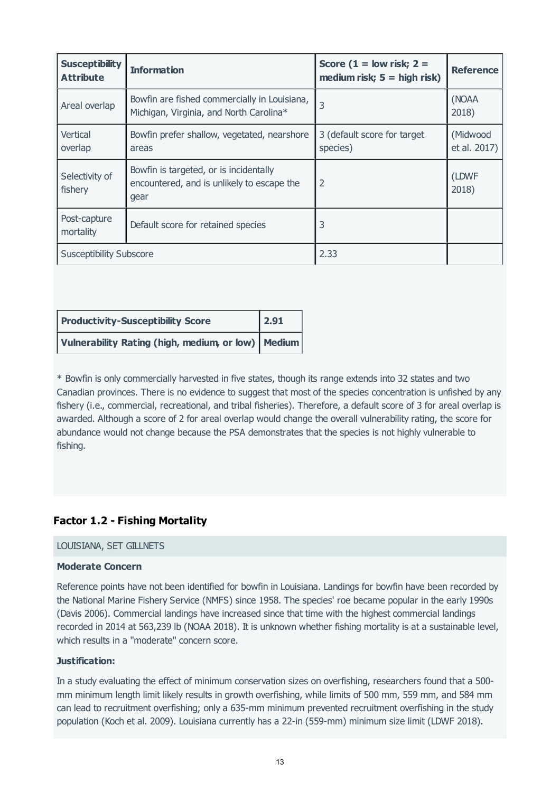| <b>Susceptibility</b><br><b>Attribute</b> | <b>Information</b>                                                                           | Score ( $1 =$ low risk; $2 =$<br>medium risk; $5 =$ high risk) | <b>Reference</b>         |
|-------------------------------------------|----------------------------------------------------------------------------------------------|----------------------------------------------------------------|--------------------------|
| Areal overlap                             | Bowfin are fished commercially in Louisiana,<br>Michigan, Virginia, and North Carolina*      | 3                                                              | (NOAA<br>2018)           |
| Vertical<br>overlap                       | Bowfin prefer shallow, vegetated, nearshore<br>areas                                         | 3 (default score for target<br>species)                        | (Midwood<br>et al. 2017) |
| Selectivity of<br>fishery                 | Bowfin is targeted, or is incidentally<br>encountered, and is unlikely to escape the<br>gear | $\overline{2}$                                                 | (LDWF<br>2018)           |
| Post-capture<br>mortality                 | Default score for retained species                                                           | 3                                                              |                          |
| <b>Susceptibility Subscore</b>            |                                                                                              | 2.33                                                           |                          |

| <b>Productivity-Susceptibility Score</b>             | $\boxed{2.91}$ |
|------------------------------------------------------|----------------|
| Vulnerability Rating (high, medium, or low)   Medium |                |

\* Bowfin is only commercially harvested in five states, though its range extends into 32 states and two Canadian provinces. There is no evidence to suggest that most of the species concentration is unfished by any fishery (i.e., commercial, recreational, and tribal fisheries). Therefore, a default score of 3 for areal overlap is awarded. Although a score of 2 for areal overlap would change the overall vulnerability rating, the score for abundance would not change because the PSA demonstrates that the species is not highly vulnerable to fishing.

# **Factor 1.2 - Fishing Mortality**

#### LOUISIANA, SET GILLNETS

#### **Moderate Concern**

Reference points have not been identified for bowfin in Louisiana. Landings for bowfin have been recorded by the National Marine Fishery Service (NMFS) since 1958. The species' roe became popular in the early 1990s (Davis 2006). Commercial landings have increased since that time with the highest commercial landings recorded in 2014 at 563,239 lb (NOAA 2018). It is unknown whether fishing mortality is at a sustainable level, which results in a "moderate" concern score.

#### **Justification:**

In a study evaluating the effect of minimum conservation sizes on overfishing, researchers found that a 500 mm minimum length limit likely results in growth overfishing, while limits of 500 mm, 559 mm, and 584 mm can lead to recruitment overfishing; only a 635-mm minimum prevented recruitment overfishing in the study population (Koch et al. 2009). Louisiana currently has a 22-in (559-mm) minimum size limit (LDWF 2018).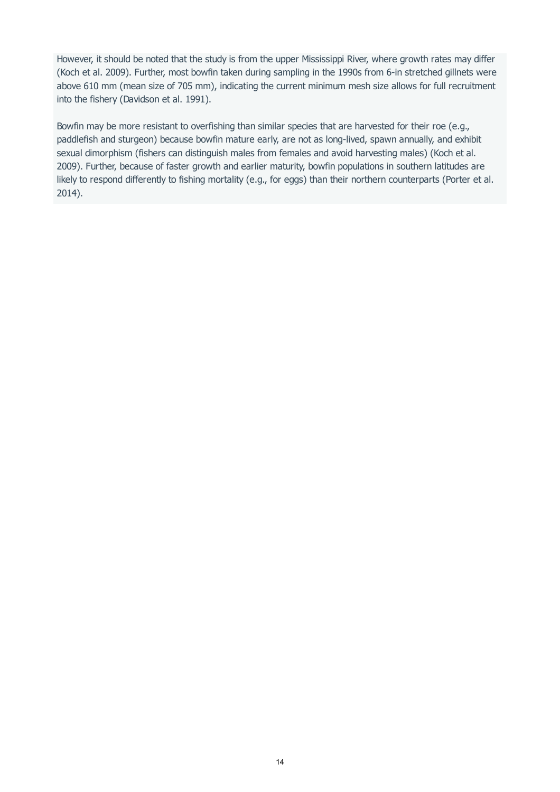However, it should be noted that the study is from the upper Mississippi River, where growth rates may differ (Koch et al. 2009). Further, most bowfin taken during sampling in the 1990s from 6-in stretched gillnets were above 610 mm (mean size of 705 mm), indicating the current minimum mesh size allows for full recruitment into the fishery (Davidson et al. 1991).

Bowfin may be more resistant to overfishing than similar species that are harvested for their roe (e.g., paddlefish and sturgeon) because bowfin mature early, are not as long-lived, spawn annually, and exhibit sexual dimorphism (fishers can distinguish males from females and avoid harvesting males) (Koch et al. 2009). Further, because of faster growth and earlier maturity, bowfin populations in southern latitudes are likely to respond differently to fishing mortality (e.g., for eggs) than their northern counterparts (Porter et al. 2014).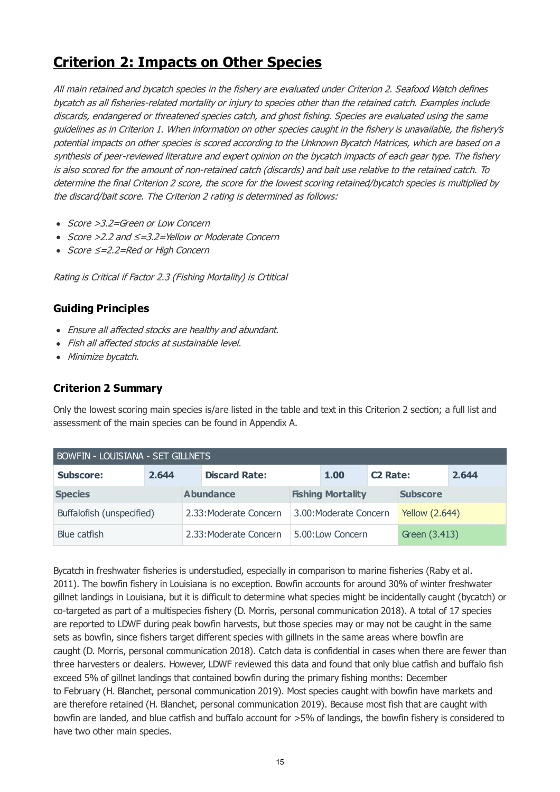# **Criterion 2: Impacts on Other Species**

All main retained and bycatch species in the fishery are evaluated under Criterion 2. Seafood Watch defines bycatch as all fisheries-related mortality or injury to species other than the retained catch. Examples include discards, endangered or threatened species catch, and ghost fishing. Species are evaluated using the same guidelines as in Criterion 1. When information on other species caught in the fishery is unavailable, the fishery's potential impacts on other species is scored according to the Unknown Bycatch Matrices, which are based on a synthesis of peer-reviewed literature and expert opinion on the bycatch impacts of each gear type. The fishery is also scored for the amount of non-retained catch (discards) and bait use relative to the retained catch. To determine the final Criterion 2 score, the score for the lowest scoring retained/bycatch species is multiplied by the discard/bait score. The Criterion 2 rating is determined as follows:

- Score > 3.2=Green or Low Concern
- Score >2.2 and ≤=3.2=Yellow or Moderate Concern
- Score ≤=2.2=Red or High Concern

Rating is Critical if Factor 2.3 (Fishing Mortality) is Crtitical

## **Guiding Principles**

- Ensure all affected stocks are healthy and abundant.
- Fish all affected stocks at sustainable level.
- Minimize bycatch.

# **Criterion 2 Summary**

Only the lowest scoring main species is/are listed in the table and text in this Criterion 2 section; a full list and assessment of the main species can be found in Appendix A.

| <b>BOWFIN - LOUISIANA - SET GILLNETS</b> |       |                  |                        |                          |                  |                            |               |       |
|------------------------------------------|-------|------------------|------------------------|--------------------------|------------------|----------------------------|---------------|-------|
| <b>Subscore:</b>                         | 2.644 |                  | <b>Discard Rate:</b>   |                          | 1.00             | <b>C<sub>2</sub></b> Rate: |               | 2.644 |
| <b>Species</b>                           |       | <b>Abundance</b> |                        | <b>Fishing Mortality</b> |                  | <b>Subscore</b>            |               |       |
| Buffalofish (unspecified)                |       |                  | 2.33: Moderate Concern | 3.00: Moderate Concern   |                  | <b>Yellow (2.644)</b>      |               |       |
| Blue catfish                             |       |                  | 2.33: Moderate Concern |                          | 5.00:Low Concern |                            | Green (3.413) |       |

Bycatch in freshwater fisheries is understudied, especially in comparison to marine fisheries (Raby et al. 2011). The bowfin fishery in Louisiana is no exception. Bowfin accounts for around 30% of winter freshwater gillnet landings in Louisiana, but it is difficult to determine what species might be incidentally caught (bycatch) or co-targeted as part of a multispecies fishery (D. Morris, personal communication 2018). A total of 17 species are reported to LDWF during peak bowfin harvests, but those species may or may not be caught in the same sets as bowfin, since fishers target different species with gillnets in the same areas where bowfin are caught (D. Morris, personal communication 2018). Catch data is confidential in cases when there are fewer than three harvesters or dealers. However, LDWF reviewed this data and found that only blue catfish and buffalo fish exceed 5% of gillnet landings that contained bowfin during the primary fishing months: December to February (H. Blanchet, personal communication 2019). Most species caught with bowfin have markets and are therefore retained (H. Blanchet, personal communication 2019). Because most fish that are caught with bowfin are landed, and blue catfish and buffalo account for >5% of landings, the bowfin fishery is considered to have two other main species.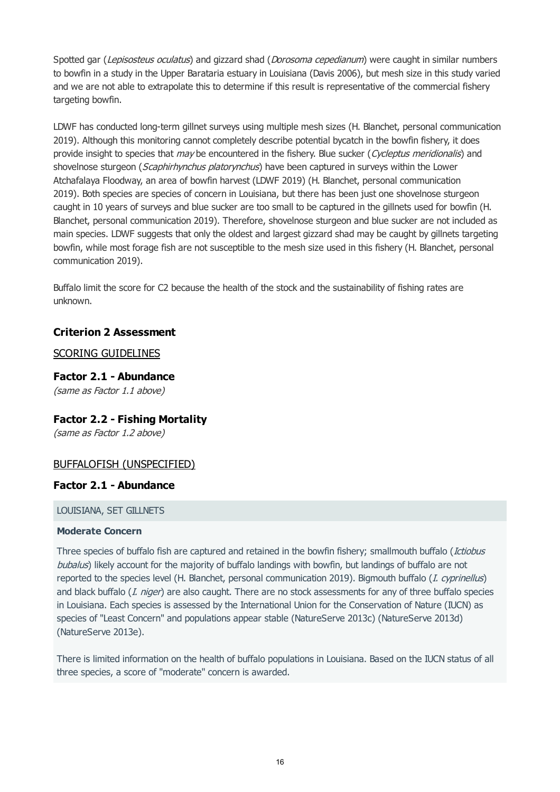<span id="page-15-0"></span>Spotted gar (Lepisosteus oculatus) and gizzard shad (Dorosoma cepedianum) were caught in similar numbers to bowfin in a study in the Upper Barataria estuary in Louisiana (Davis 2006), but mesh size in this study varied and we are not able to extrapolate this to determine if this result is representative of the commercial fishery targeting bowfin.

LDWF has conducted long-term gillnet surveys using multiple mesh sizes (H. Blanchet, personal communication 2019). Although this monitoring cannot completely describe potential bycatch in the bowfin fishery, it does provide insight to species that *may* be encountered in the fishery. Blue sucker (Cycleptus meridionalis) and shovelnose sturgeon (Scaphirhynchus platorynchus) have been captured in surveys within the Lower Atchafalaya Floodway, an area of bowfin harvest (LDWF 2019) (H. Blanchet, personal communication 2019). Both species are species of concern in Louisiana, but there has been just one shovelnose sturgeon caught in 10 years of surveys and blue sucker are too small to be captured in the gillnets used for bowfin (H. Blanchet, personal communication 2019). Therefore, shovelnose sturgeon and blue sucker are not included as main species. LDWF suggests that only the oldest and largest gizzard shad may be caught by gillnets targeting bowfin, while most forage fish are not susceptible to the mesh size used in this fishery (H. Blanchet, personal communication 2019).

Buffalo limit the score for C2 because the health of the stock and the sustainability of fishing rates are unknown.

## **Criterion 2 Assessment**

## SCORING GUIDELINES

**Factor 2.1 - Abundance** (same as Factor 1.1 above)

# **Factor 2.2 - Fishing Mortality**

(same as Factor 1.2 above)

# BUFFALOFISH (UNSPECIFIED)

### **Factor 2.1 - Abundance**

#### LOUISIANA, SET GILLNETS

#### **Moderate Concern**

Three species of buffalo fish are captured and retained in the bowfin fishery; smallmouth buffalo (Ictiobus bubalus) likely account for the majority of buffalo landings with bowfin, but landings of buffalo are not reported to the species level (H. Blanchet, personal communication 2019). Bigmouth buffalo (I. cyprinellus) and black buffalo (*I. niger*) are also caught. There are no stock assessments for any of three buffalo species in Louisiana. Each species is assessed by the International Union for the Conservation of Nature (IUCN) as species of "Least Concern" and populations appear stable (NatureServe 2013c) (NatureServe 2013d) (NatureServe 2013e).

There is limited information on the health of buffalo populations in Louisiana. Based on the IUCN status of all three species, a score of "moderate" concern is awarded.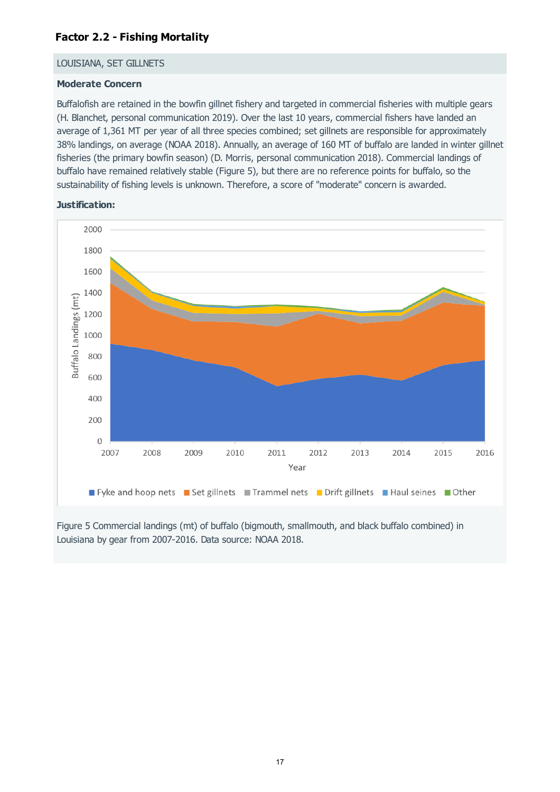# **Factor 2.2 - Fishing Mortality**

#### LOUISIANA, SET GILLNETS

#### **Moderate Concern**

Buffalofish are retained in the bowfin gillnet fishery and targeted in commercial fisheries with multiple gears (H. Blanchet, personal communication 2019). Over the last 10 years, commercial fishers have landed an average of 1,361 MT per year of all three species combined; set gillnets are responsible for approximately 38% landings, on average (NOAA 2018). Annually, an average of 160 MT of buffalo are landed in winter gillnet fisheries (the primary bowfin season) (D. Morris, personal communication 2018). Commercial landings of buffalo have remained relatively stable (Figure 5), but there are no reference points for buffalo, so the sustainability of fishing levels is unknown. Therefore, a score of "moderate" concern is awarded.



#### **Justification:**

Figure 5 Commercial landings (mt) of buffalo (bigmouth, smallmouth, and black buffalo combined) in Louisiana by gear from 2007-2016. Data source: NOAA 2018.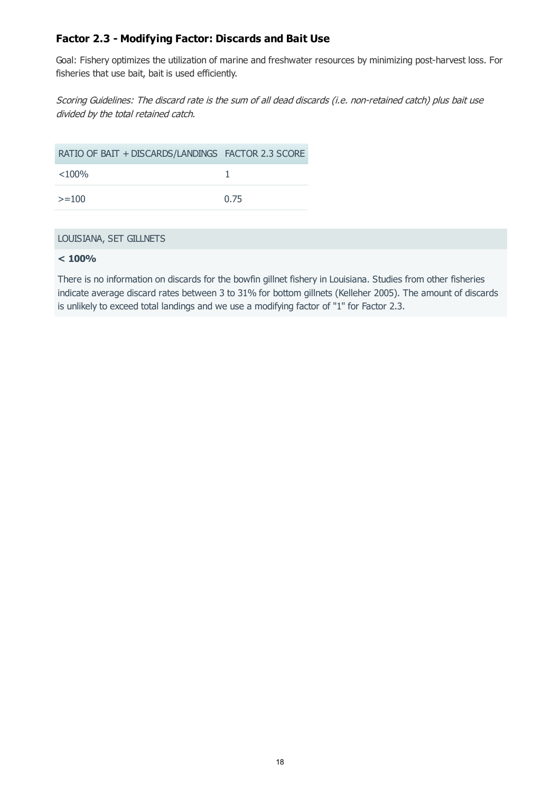# **Factor 2.3 - Modifying Factor: Discards and Bait Use**

Goal: Fishery optimizes the utilization of marine and freshwater resources by minimizing post-harvest loss. For fisheries that use bait, bait is used efficiently.

Scoring Guidelines: The discard rate is the sum of all dead discards (i.e. non-retained catch) plus bait use divided by the total retained catch.

| RATIO OF BAIT + DISCARDS/LANDINGS FACTOR 2.3 SCORE |      |
|----------------------------------------------------|------|
| $<$ 100%                                           |      |
| $>=100$                                            | 0.75 |

#### LOUISIANA, SET GILLNETS

#### **< 100%**

There is no information on discards for the bowfin gillnet fishery in Louisiana. Studies from other fisheries indicate average discard rates between 3 to 31% for bottom gillnets (Kelleher 2005). The amount of discards is unlikely to exceed total landings and we use a modifying factor of "1" for Factor 2.3.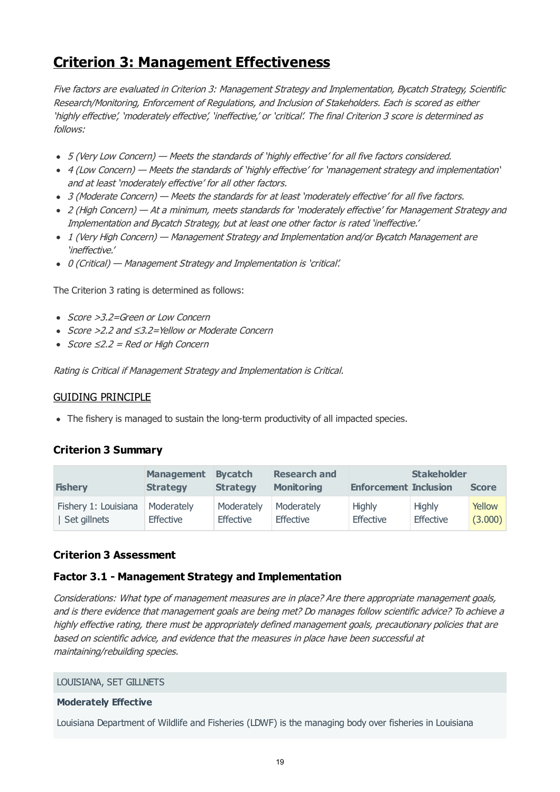# **Criterion 3: Management Effectiveness**

Five factors are evaluated in Criterion 3: Management Strategy and Implementation, Bycatch Strategy, Scientific Research/Monitoring, Enforcement of Regulations, and Inclusion of Stakeholders. Each is scored as either 'highly effective', 'moderately effective', 'ineffective,' or 'critical'. The final Criterion 3 score is determined as follows:

- 5 (Very Low Concern) Meets the standards of 'highly effective' for all five factors considered.
- 4 (Low Concern) Meets the standards of 'highly effective' for 'management strategy and implementation' and at least 'moderately effective' for all other factors.
- 3 (Moderate Concern) Meets the standards for at least 'moderately effective' for all five factors.
- 2 (High Concern) At a minimum, meets standards for 'moderately effective' for Management Strategy and Implementation and Bycatch Strategy, but at least one other factor is rated 'ineffective.'
- 1 (Very High Concern) Management Strategy and Implementation and/or Bycatch Management are 'ineffective.'
- 0 (Critical) Management Strategy and Implementation is 'critical'.

The Criterion 3 rating is determined as follows:

- Score >3.2=Green or Low Concern
- Score >2.2 and ≤3.2=Yellow or Moderate Concern
- $Score ≤2.2 = Red or High Concern$

Rating is Critical if Management Strategy and Implementation is Critical.

### GUIDING PRINCIPLE

• The fishery is managed to sustain the long-term productivity of all impacted species.

# **Criterion 3 Summary**

| <b>Fishery</b>       | <b>Management</b><br><b>Strategy</b> | <b>Bycatch</b><br><b>Strategy</b> | <b>Research and</b><br><b>Monitoring</b> | <b>Enforcement Inclusion</b> | <b>Stakeholder</b> | <b>Score</b> |
|----------------------|--------------------------------------|-----------------------------------|------------------------------------------|------------------------------|--------------------|--------------|
| Fishery 1: Louisiana | Moderately                           | Moderately                        | Moderately                               | <b>Highly</b>                | <b>Highly</b>      | Yellow       |
| Set gillnets         | Effective                            | <b>Effective</b>                  | <b>Effective</b>                         | Effective                    | <b>Effective</b>   | (3.000)      |

### **Criterion 3 Assessment**

### **Factor 3.1 - Management Strategy and Implementation**

Considerations: What type of management measures are in place? Are there appropriate management goals, and is there evidence that management goals are being met? Do manages follow scientific advice? To achieve a highly effective rating, there must be appropriately defined management goals, precautionary policies that are based on scientific advice, and evidence that the measures in place have been successful at maintaining/rebuilding species.

#### LOUISIANA, SET GILLNETS

#### **Moderately Effective**

Louisiana Department of Wildlife and Fisheries (LDWF) is the managing body over fisheries in Louisiana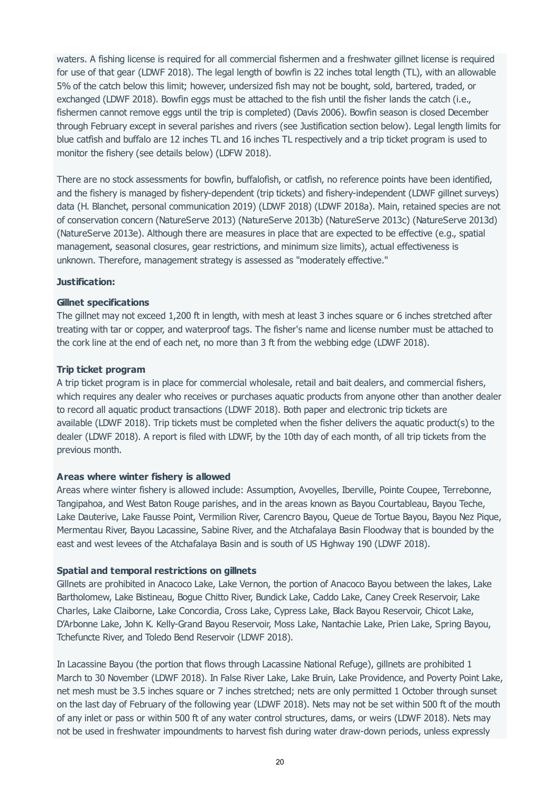<span id="page-19-0"></span>waters. A fishing license is required for all commercial fishermen and a freshwater gillnet license is required for use of that gear (LDWF 2018). The legal length of bowfin is 22 inches total length (TL), with an allowable 5% of the catch below this limit; however, undersized fish may not be bought, sold, bartered, traded, or exchanged (LDWF 2018). Bowfin eggs must be attached to the fish until the fisher lands the catch (i.e., fishermen cannot remove eggs until the trip is completed) (Davis 2006). Bowfin season is closed December through February except in several parishes and rivers (see Justification section below). Legal length limits for blue catfish and buffalo are 12 inches TL and 16 inches TL respectively and a trip ticket program is used to monitor the fishery (see details below) (LDFW 2018).

There are no stock assessments for bowfin, buffalofish, or catfish, no reference points have been identified, and the fishery is managed by fishery-dependent (trip tickets) and fishery-independent (LDWF gillnet surveys) data (H. Blanchet, personal communication 2019) (LDWF 2018) (LDWF 2018a). Main, retained species are not of conservation concern (NatureServe 2013) (NatureServe 2013b) (NatureServe 2013c) (NatureServe 2013d) (NatureServe 2013e). Although there are measures in place that are expected to be effective (e.g., spatial management, seasonal closures, gear restrictions, and minimum size limits), actual effectiveness is unknown. Therefore, management strategy is assessed as "moderately effective."

#### **Justification:**

#### **Gillnet specifications**

The gillnet may not exceed 1,200 ft in length, with mesh at least 3 inches square or 6 inches stretched after treating with tar or copper, and waterproof tags. The fisher's name and license number must be attached to the cork line at the end of each net, no more than 3 ft from the webbing edge (LDWF 2018).

#### **Trip ticket program**

A trip ticket program is in place for commercial wholesale, retail and bait dealers, and commercial fishers, which requires any dealer who receives or purchases aquatic products from anyone other than another dealer to record all aquatic product transactions (LDWF 2018). Both paper and electronic trip tickets are available (LDWF 2018). Trip tickets must be completed when the fisher delivers the aquatic product(s) to the dealer (LDWF 2018). A report is filed with LDWF, by the 10th day of each month, of all trip tickets from the previous month.

#### **Areas where winter fishery is allowed**

Areas where winter fishery is allowed include: Assumption, Avoyelles, Iberville, Pointe Coupee, Terrebonne, Tangipahoa, and West Baton Rouge parishes, and in the areas known as Bayou Courtableau, Bayou Teche, Lake Dauterive, Lake Fausse Point, Vermilion River, Carencro Bayou, Queue de Tortue Bayou, Bayou Nez Pique, Mermentau River, Bayou Lacassine, Sabine River, and the Atchafalaya Basin Floodway that is bounded by the east and west levees of the Atchafalaya Basin and is south of US Highway 190 (LDWF 2018).

#### **Spatial and temporal restrictions on gillnets**

Gillnets are prohibited in Anacoco Lake, Lake Vernon, the portion of Anacoco Bayou between the lakes, Lake Bartholomew, Lake Bistineau, Bogue Chitto River, Bundick Lake, Caddo Lake, Caney Creek Reservoir, Lake Charles, Lake Claiborne, Lake Concordia, Cross Lake, Cypress Lake, Black Bayou Reservoir, Chicot Lake, D'Arbonne Lake, John K. Kelly-Grand Bayou Reservoir, Moss Lake, Nantachie Lake, Prien Lake, Spring Bayou, Tchefuncte River, and Toledo Bend Reservoir (LDWF 2018).

In Lacassine Bayou (the portion that flows through Lacassine National Refuge), gillnets are prohibited 1 March to 30 November (LDWF 2018). In False River Lake, Lake Bruin, Lake Providence, and Poverty Point Lake, net mesh must be 3.5 inches square or 7 inches stretched; nets are only permitted 1 October through sunset on the last day of February of the following year (LDWF 2018). Nets may not be set within 500 ft of the mouth of any inlet or pass or within 500 ft of any water control structures, dams, or weirs (LDWF 2018). Nets may not be used in freshwater impoundments to harvest fish during water draw-down periods, unless expressly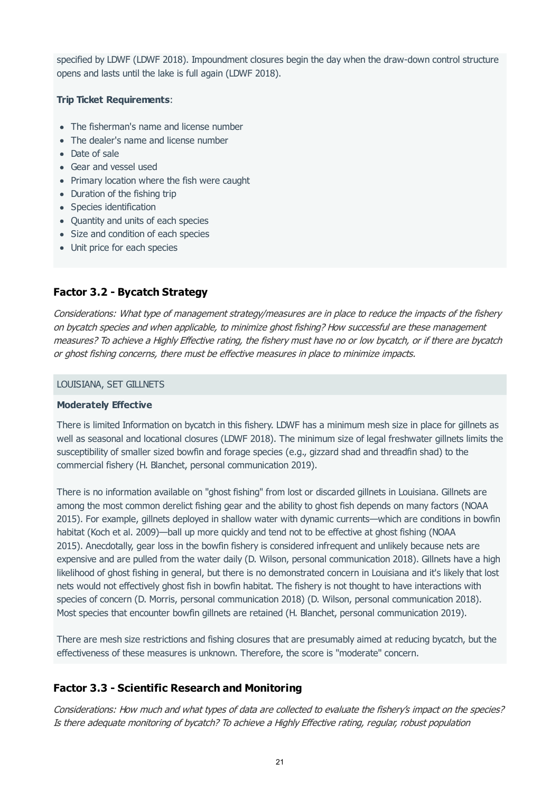specified by LDWF (LDWF 2018). Impoundment closures begin the day when the draw-down control structure opens and lasts until the lake is full again (LDWF 2018).

#### **Trip Ticket Requirements**:

- The fisherman's name and license number
- The dealer's name and license number
- Date of sale
- Gear and vessel used
- Primary location where the fish were caught
- Duration of the fishing trip
- Species identification
- Quantity and units of each species
- Size and condition of each species
- Unit price for each species

# **Factor 3.2 - Bycatch Strategy**

Considerations: What type of management strategy/measures are in place to reduce the impacts of the fishery on bycatch species and when applicable, to minimize ghost fishing? How successful are these management measures? To achieve a Highly Effective rating, the fishery must have no or low bycatch, or if there are bycatch or ghost fishing concerns, there must be effective measures in place to minimize impacts.

#### LOUISIANA, SET GILLNETS

#### **Moderately Effective**

There is limited Information on bycatch in this fishery. LDWF has a minimum mesh size in place for gillnets as well as seasonal and locational closures (LDWF 2018). The minimum size of legal freshwater gillnets limits the susceptibility of smaller sized bowfin and forage species (e.g., gizzard shad and threadfin shad) to the commercial fishery (H. Blanchet, personal communication 2019).

There is no information available on "ghost fishing" from lost or discarded gillnets in Louisiana. Gillnets are among the most common derelict fishing gear and the ability to ghost fish depends on many factors (NOAA 2015). For example, gillnets deployed in shallow water with dynamic currents—which are conditions in bowfin habitat (Koch et al. 2009)—ball up more quickly and tend not to be effective at ghost fishing (NOAA 2015). Anecdotally, gear loss in the bowfin fishery is considered infrequent and unlikely because nets are expensive and are pulled from the water daily (D. Wilson, personal communication 2018). Gillnets have a high likelihood of ghost fishing in general, but there is no demonstrated concern in Louisiana and it's likely that lost nets would not effectively ghost fish in bowfin habitat. The fishery is not thought to have interactions with species of concern (D. Morris, personal communication 2018) (D. Wilson, personal communication 2018). Most species that encounter bowfin gillnets are retained (H. Blanchet, personal communication 2019).

There are mesh size restrictions and fishing closures that are presumably aimed at reducing bycatch, but the effectiveness of these measures is unknown. Therefore, the score is "moderate" concern.

# **Factor 3.3 - Scientific Research and Monitoring**

Considerations: How much and what types of data are collected to evaluate the fishery's impact on the species? Is there adequate monitoring of bycatch? To achieve a Highly Effective rating, regular, robust population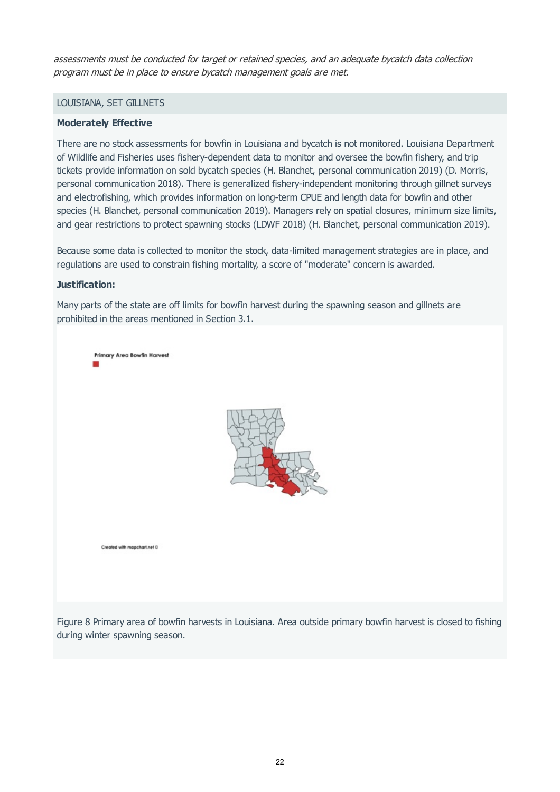assessments must be conducted for target or retained species, and an adequate bycatch data collection program must be in place to ensure bycatch management goals are met.

#### LOUISIANA, SET GILLNETS

#### **Moderately Effective**

There are no stock assessments for bowfin in Louisiana and bycatch is not monitored. Louisiana Department of Wildlife and Fisheries uses fishery-dependent data to monitor and oversee the bowfin fishery, and trip tickets provide information on sold bycatch species (H. Blanchet, personal communication 2019) (D. Morris, personal communication 2018). There is generalized fishery-independent monitoring through gillnet surveys and electrofishing, which provides information on long-term CPUE and length data for bowfin and other species (H. Blanchet, personal communication 2019). Managers rely on spatial closures, minimum size limits, and gear restrictions to protect spawning stocks (LDWF 2018) (H. Blanchet, personal communication 2019).

Because some data is collected to monitor the stock, data-limited management strategies are in place, and regulations are used to constrain fishing mortality, a score of "moderate" concern is awarded.

#### **Justification:**

Many parts of the state are off limits for bowfin harvest during the spawning season and gillnets are prohibited in the areas mentioned in Section 3.1.



Figure 8 Primary area of bowfin harvests in Louisiana. Area outside primary bowfin harvest is closed to fishing during winter spawning season.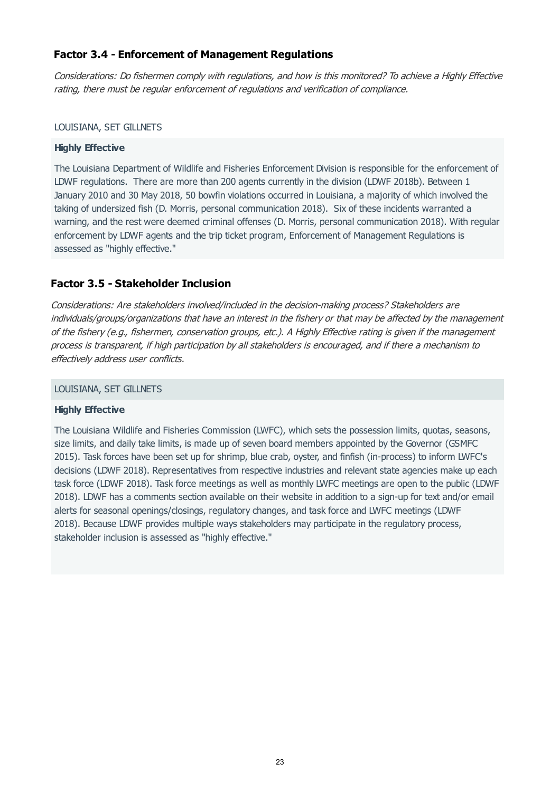# **Factor 3.4 - Enforcement of Management Regulations**

Considerations: Do fishermen comply with regulations, and how is this monitored? To achieve a Highly Effective rating, there must be regular enforcement of regulations and verification of compliance.

#### LOUISIANA, SET GILLNETS

#### **Highly Effective**

The Louisiana Department of Wildlife and Fisheries Enforcement Division is responsible for the enforcement of LDWF regulations. There are more than 200 agents currently in the division (LDWF 2018b). Between 1 January 2010 and 30 May 2018, 50 bowfin violations occurred in Louisiana, a majority of which involved the taking of undersized fish (D. Morris, personal communication 2018). Six of these incidents warranted a warning, and the rest were deemed criminal offenses (D. Morris, personal communication 2018). With regular enforcement by LDWF agents and the trip ticket program, Enforcement of Management Regulations is assessed as "highly effective."

## **Factor 3.5 - Stakeholder Inclusion**

Considerations: Are stakeholders involved/included in the decision-making process? Stakeholders are individuals/groups/organizations that have an interest in the fishery or that may be affected by the management of the fishery (e.g., fishermen, conservation groups, etc.). A Highly Effective rating is given if the management process is transparent, if high participation by all stakeholders is encouraged, and if there a mechanism to effectively address user conflicts.

#### LOUISIANA, SET GILLNETS

#### **Highly Effective**

The Louisiana Wildlife and Fisheries Commission (LWFC), which sets the possession limits, quotas, seasons, size limits, and daily take limits, is made up of seven board members appointed by the Governor (GSMFC 2015). Task forces have been set up for shrimp, blue crab, oyster, and finfish (in-process) to inform LWFC's decisions (LDWF 2018). Representatives from respective industries and relevant state agencies make up each task force (LDWF 2018). Task force meetings as well as monthly LWFC meetings are open to the public (LDWF 2018). LDWF has a comments section available on their website in addition to a sign-up for text and/or email alerts for seasonal openings/closings, regulatory changes, and task force and LWFC meetings (LDWF 2018). Because LDWF provides multiple ways stakeholders may participate in the regulatory process, stakeholder inclusion is assessed as "highly effective."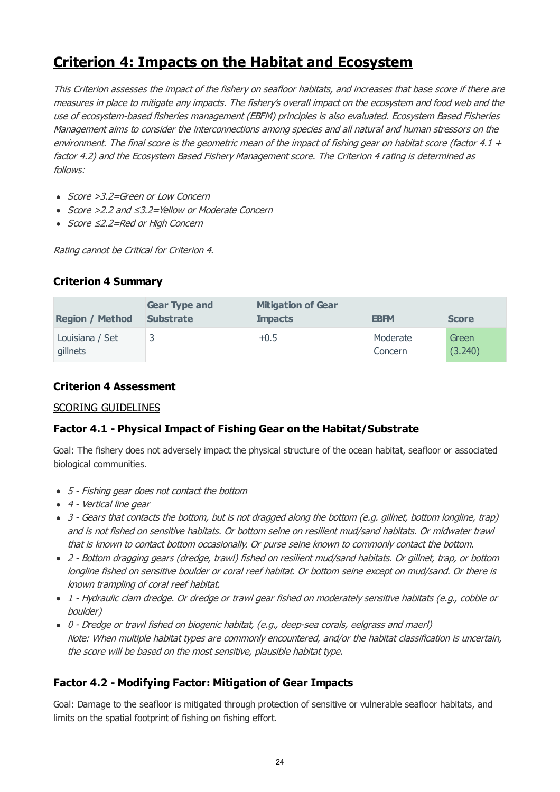# **Criterion 4: Impacts on the Habitat and Ecosystem**

This Criterion assesses the impact of the fishery on seafloor habitats, and increases that base score if there are measures in place to mitigate any impacts. The fishery's overall impact on the ecosystem and food web and the use of ecosystem-based fisheries management (EBFM) principles is also evaluated. Ecosystem Based Fisheries Management aims to consider the interconnections among species and all natural and human stressors on the environment. The final score is the geometric mean of the impact of fishing gear on habitat score (factor 4.1  $+$ factor 4.2) and the Ecosystem Based Fishery Management score. The Criterion 4 rating is determined as follows:

- Score > 3.2=Green or Low Concern
- Score >2.2 and ≤3.2=Yellow or Moderate Concern
- Score ≤2.2=Red or High Concern

Rating cannot be Critical for Criterion 4.

# **Criterion 4 Summary**

| <b>Region / Method</b>      | <b>Gear Type and</b><br><b>Substrate</b> | <b>Mitigation of Gear</b><br><b>Impacts</b> | <b>EBFM</b>         | <b>Score</b>     |
|-----------------------------|------------------------------------------|---------------------------------------------|---------------------|------------------|
| Louisiana / Set<br>gillnets |                                          | $+0.5$                                      | Moderate<br>Concern | Green<br>(3.240) |

# **Criterion 4 Assessment**

### SCORING GUIDELINES

# **Factor 4.1 - Physical Impact of Fishing Gear on the Habitat/Substrate**

Goal: The fishery does not adversely impact the physical structure of the ocean habitat, seafloor or associated biological communities.

- 5 Fishing gear does not contact the bottom
- 4 Vertical line gear
- 3 Gears that contacts the bottom, but is not dragged along the bottom (e.g. gillnet, bottom longline, trap) and is not fished on sensitive habitats. Or bottom seine on resilient mud/sand habitats. Or midwater trawl that is known to contact bottom occasionally. Or purse seine known to commonly contact the bottom.
- 2 Bottom dragging gears (dredge, trawl) fished on resilient mud/sand habitats. Or gillnet, trap, or bottom longline fished on sensitive boulder or coral reef habitat. Or bottom seine except on mud/sand. Or there is known trampling of coral reef habitat.
- 1 Hydraulic clam dredge. Or dredge or trawl gear fished on moderately sensitive habitats (e.g., cobble or boulder)
- 0 Dredge or trawl fished on biogenic habitat, (e.g., deep-sea corals, eelgrass and maerl) Note: When multiple habitat types are commonly encountered, and/or the habitat classification is uncertain, the score will be based on the most sensitive, plausible habitat type.

# **Factor 4.2 - Modifying Factor: Mitigation of Gear Impacts**

Goal: Damage to the seafloor is mitigated through protection of sensitive or vulnerable seafloor habitats, and limits on the spatial footprint of fishing on fishing effort.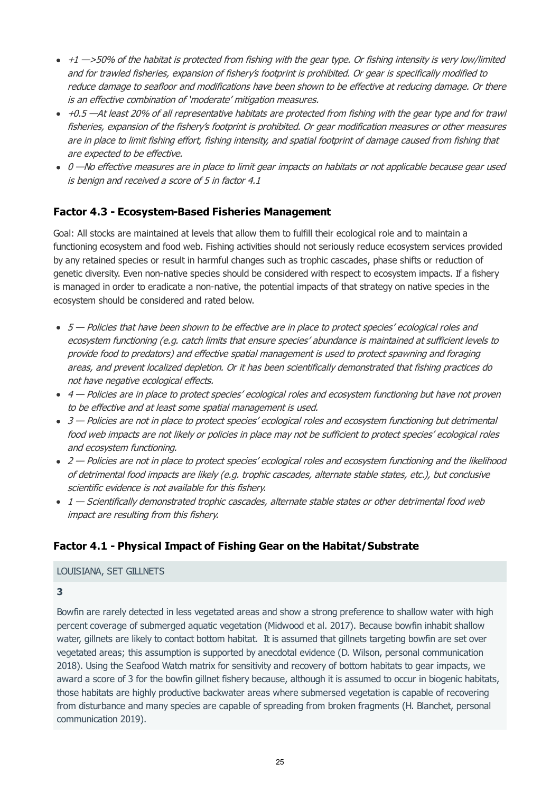- <span id="page-24-0"></span> $\cdot$  +1  $\rightarrow$  50% of the habitat is protected from fishing with the gear type. Or fishing intensity is very low/limited and for trawled fisheries, expansion of fishery's footprint is prohibited. Or gear is specifically modified to reduce damage to seafloor and modifications have been shown to be effective at reducing damage. Or there is an effective combination of 'moderate' mitigation measures.
- +0.5 —At least 20% of all representative habitats are protected from fishing with the gear type and for trawl fisheries, expansion of the fishery's footprint is prohibited. Or gear modification measures or other measures are in place to limit fishing effort, fishing intensity, and spatial footprint of damage caused from fishing that are expected to be effective.
- 0 No effective measures are in place to limit gear impacts on habitats or not applicable because gear used is benign and received a score of 5 in factor 4.1

# **Factor 4.3 - Ecosystem-Based Fisheries Management**

Goal: All stocks are maintained at levels that allow them to fulfill their ecological role and to maintain a functioning ecosystem and food web. Fishing activities should not seriously reduce ecosystem services provided by any retained species or result in harmful changes such as trophic cascades, phase shifts or reduction of genetic diversity. Even non-native species should be considered with respect to ecosystem impacts. If a fishery is managed in order to eradicate a non-native, the potential impacts of that strategy on native species in the ecosystem should be considered and rated below.

- $5$  Policies that have been shown to be effective are in place to protect species' ecological roles and ecosystem functioning (e.g. catch limits that ensure species' abundance is maintained at sufficient levels to provide food to predators) and effective spatial management is used to protect spawning and foraging areas, and prevent localized depletion. Or it has been scientifically demonstrated that fishing practices do not have negative ecological effects.
- 4 Policies are in place to protect species' ecological roles and ecosystem functioning but have not proven to be effective and at least some spatial management is used.
- 3 Policies are not in place to protect species' ecological roles and ecosystem functioning but detrimental food web impacts are not likely or policies in place may not be sufficient to protect species' ecological roles and ecosystem functioning.
- 2 Policies are not in place to protect species' ecological roles and ecosystem functioning and the likelihood of detrimental food impacts are likely (e.g. trophic cascades, alternate stable states, etc.), but conclusive scientific evidence is not available for this fishery.
- $1$  Scientifically demonstrated trophic cascades, alternate stable states or other detrimental food web impact are resulting from this fishery.

# **Factor 4.1 - Physical Impact of Fishing Gear on the Habitat/Substrate**

### LOUISIANA, SET GILLNETS

**3**

Bowfin are rarely detected in less vegetated areas and show a strong preference to shallow water with high percent coverage of submerged aquatic vegetation (Midwood et al. 2017). Because bowfin inhabit shallow water, gillnets are likely to contact bottom habitat. It is assumed that gillnets targeting bowfin are set over vegetated areas; this assumption is supported by anecdotal evidence (D. Wilson, personal communication 2018). Using the Seafood Watch matrix for sensitivity and recovery of bottom habitats to gear impacts, we award a score of 3 for the bowfin gillnet fishery because, although it is assumed to occur in biogenic habitats, those habitats are highly productive backwater areas where submersed vegetation is capable of recovering from disturbance and many species are capable of spreading from broken fragments (H. Blanchet, personal communication 2019).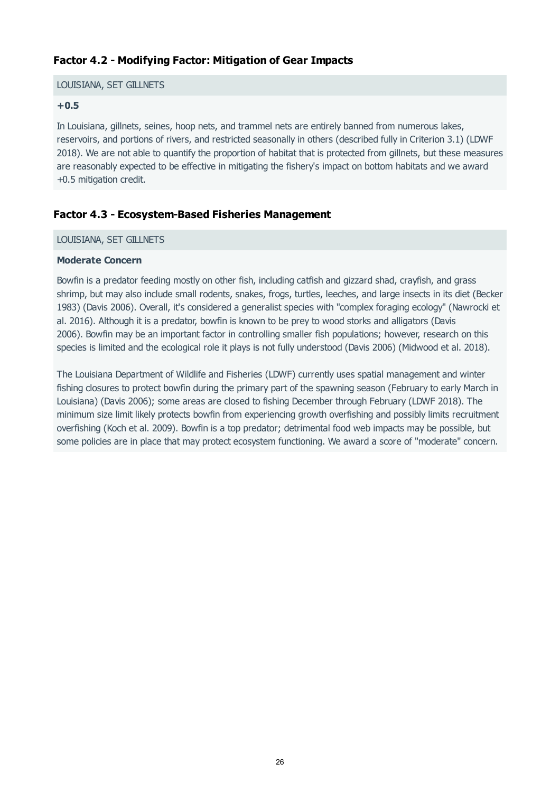# **Factor 4.2 - Modifying Factor: Mitigation of Gear Impacts**

#### LOUISIANA, SET GILLNETS

#### **+0.5**

In Louisiana, gillnets, seines, hoop nets, and trammel nets are entirely banned from numerous lakes, reservoirs, and portions of rivers, and restricted seasonally in others (described fully in Criterion 3.1) (LDWF 2018). We are not able to quantify the proportion of habitat that is protected from gillnets, but these measures are reasonably expected to be effective in mitigating the fishery's impact on bottom habitats and we award +0.5 mitigation credit.

# **Factor 4.3 - Ecosystem-Based Fisheries Management**

#### LOUISIANA, SET GILLNETS

#### **Moderate Concern**

Bowfin is a predator feeding mostly on other fish, including catfish and gizzard shad, crayfish, and grass shrimp, but may also include small rodents, snakes, frogs, turtles, leeches, and large insects in its diet (Becker 1983) (Davis 2006). Overall, it's considered a generalist species with "complex foraging ecology" (Nawrocki et al. 2016). Although it is a predator, bowfin is known to be prey to wood storks and alligators (Davis 2006). Bowfin may be an important factor in controlling smaller fish populations; however, research on this species is limited and the ecological role it plays is not fully understood (Davis 2006) (Midwood et al. 2018).

The Louisiana Department of Wildlife and Fisheries (LDWF) currently uses spatial management and winter fishing closures to protect bowfin during the primary part of the spawning season (February to early March in Louisiana) (Davis 2006); some areas are closed to fishing December through February (LDWF 2018). The minimum size limit likely protects bowfin from experiencing growth overfishing and possibly limits recruitment overfishing (Koch et al. 2009). Bowfin is a top predator; detrimental food web impacts may be possible, but some policies are in place that may protect ecosystem functioning. We award a score of "moderate" concern.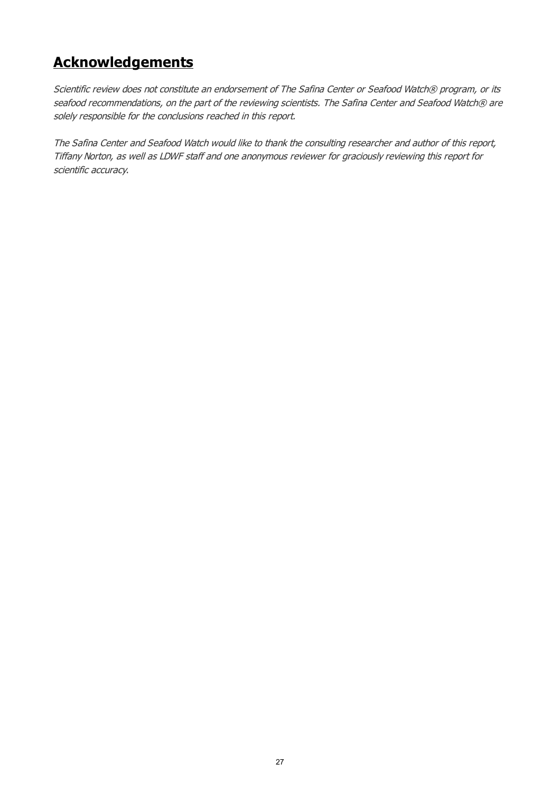# **Acknowledgements**

Scientific review does not constitute an endorsement of The Safina Center or Seafood Watch® program, or its seafood recommendations, on the part of the reviewing scientists. The Safina Center and Seafood Watch® are solely responsible for the conclusions reached in this report.

The Safina Center and Seafood Watch would like to thank the consulting researcher and author of this report, Tiffany Norton, as well as LDWF staff and one anonymous reviewer for graciously reviewing this report for scientific accuracy.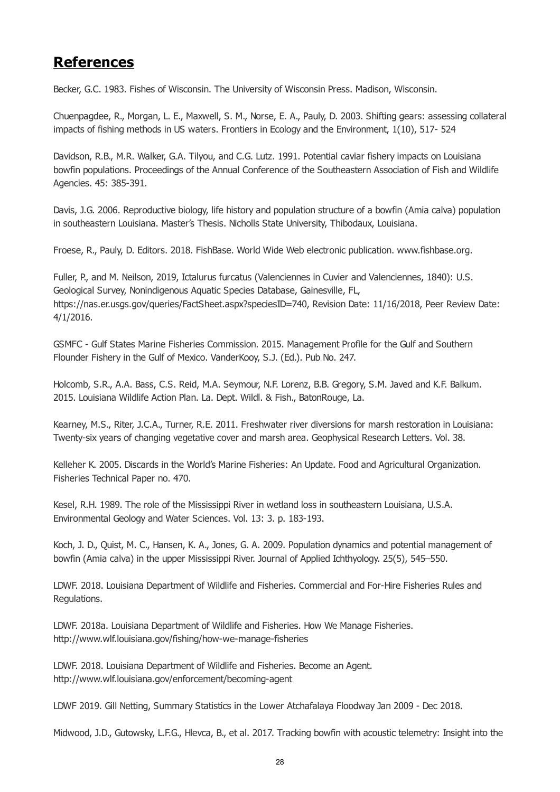# <span id="page-27-0"></span>**References**

Becker, G.C. 1983. Fishes of Wisconsin. The University of Wisconsin Press. Madison, Wisconsin.

Chuenpagdee, R., Morgan, L. E., Maxwell, S. M., Norse, E. A., Pauly, D. 2003. Shifting gears: assessing collateral impacts of fishing methods in US waters. Frontiers in Ecology and the Environment, 1(10), 517- 524

Davidson, R.B., M.R. Walker, G.A. Tilyou, and C.G. Lutz. 1991. Potential caviar fishery impacts on Louisiana bowfin populations. Proceedings of the Annual Conference of the Southeastern Association of Fish and Wildlife Agencies. 45: 385-391.

Davis, J.G. 2006. Reproductive biology, life history and population structure of a bowfin (Amia calva) population in southeastern Louisiana. Master's Thesis. Nicholls State University, Thibodaux, Louisiana.

Froese, R., Pauly, D. Editors. 2018. FishBase. World Wide Web electronic publication. www.fishbase.org.

Fuller, P., and M. Neilson, 2019, Ictalurus furcatus (Valenciennes in Cuvier and Valenciennes, 1840): U.S. Geological Survey, Nonindigenous Aquatic Species Database, Gainesville, FL, https://nas.er.usgs.gov/gueries/FactSheet.aspx?speciesID=740, Revision Date: 11/16/2018, Peer Review Date: 4/1/2016.

GSMFC - Gulf States Marine Fisheries Commission. 2015. Management Profile for the Gulf and Southern Flounder Fishery in the Gulf of Mexico. VanderKooy, S.J. (Ed.). Pub No. 247.

Holcomb, S.R., A.A. Bass, C.S. Reid, M.A. Seymour, N.F. Lorenz, B.B. Gregory, S.M. Javed and K.F. Balkum. 2015. Louisiana Wildlife Action Plan. La. Dept. Wildl. & Fish., BatonRouge, La.

Kearney, M.S., Riter, J.C.A., Turner, R.E. 2011. Freshwater river diversions for marsh restoration in Louisiana: Twenty-six years of changing vegetative cover and marsh area. Geophysical Research Letters. Vol. 38.

Kelleher K. 2005. Discards in the World's Marine Fisheries: An Update. Food and Agricultural Organization. Fisheries Technical Paper no. 470.

Kesel, R.H. 1989. The role of the Mississippi River in wetland loss in southeastern Louisiana, U.S.A. Environmental Geology and Water Sciences. Vol. 13: 3. p. 183-193.

Koch, J. D., Quist, M. C., Hansen, K. A., Jones, G. A. 2009. Population dynamics and potential management of bowfin (Amia calva) in the upper Mississippi River. Journal of Applied Ichthyology. 25(5), 545–550.

LDWF. 2018. Louisiana Department of Wildlife and Fisheries. Commercial and For-Hire Fisheries Rules and Regulations.

LDWF. 2018a. Louisiana Department of Wildlife and Fisheries. How We Manage Fisheries. http://www.wlf.louisiana.gov/fishing/how-we-manage-fisheries

LDWF. 2018. Louisiana Department of Wildlife and Fisheries. Become an Agent. http://www.wlf.louisiana.gov/enforcement/becoming-agent

LDWF 2019. Gill Netting, Summary Statistics in the Lower Atchafalaya Floodway Jan 2009 - Dec 2018.

Midwood, J.D., Gutowsky, L.F.G., Hlevca, B., et al. 2017. Tracking bowfin with acoustic telemetry: Insight into the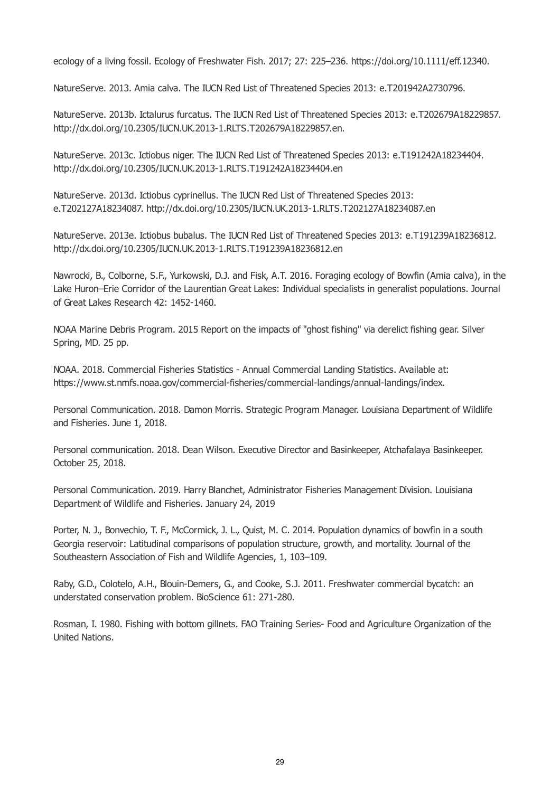<span id="page-28-0"></span>ecology of a living fossil. Ecology of Freshwater Fish. 2017; 27: 225–236. https://doi.org/10.1111/eff.12340.

NatureServe. 2013. Amia calva. The IUCN Red List of Threatened Species 2013: e.T201942A2730796.

NatureServe. 2013b. Ictalurus furcatus. The IUCN Red List of Threatened Species 2013: e.T202679A18229857. http://dx.doi.org/10.2305/IUCN.UK.2013-1.RLTS.T202679A18229857.en.

NatureServe. 2013c. Ictiobus niger. The IUCN Red List of Threatened Species 2013: e.T191242A18234404. http://dx.doi.org/10.2305/IUCN.UK.2013-1.RLTS.T191242A18234404.en

NatureServe. 2013d. Ictiobus cyprinellus. The IUCN Red List of Threatened Species 2013: e.T202127A18234087. http://dx.doi.org/10.2305/IUCN.UK.2013-1.RLTS.T202127A18234087.en

NatureServe. 2013e. Ictiobus bubalus. The IUCN Red List of Threatened Species 2013: e.T191239A18236812. http://dx.doi.org/10.2305/IUCN.UK.2013-1.RLTS.T191239A18236812.en

Nawrocki, B., Colborne, S.F., Yurkowski, D.J. and Fisk, A.T. 2016. Foraging ecology of Bowfin (Amia calva), in the Lake Huron–Erie Corridor of the Laurentian Great Lakes: Individual specialists in generalist populations. Journal of Great Lakes Research 42: 1452-1460.

NOAA Marine Debris Program. 2015 Report on the impacts of "ghost fishing" via derelict fishing gear. Silver Spring, MD. 25 pp.

NOAA. 2018. Commercial Fisheries Statistics - Annual Commercial Landing Statistics. Available at: https://www.st.nmfs.noaa.gov/commercial-fisheries/commercial-landings/annual-landings/index.

Personal Communication. 2018. Damon Morris. Strategic Program Manager. Louisiana Department of Wildlife and Fisheries. June 1, 2018.

Personal communication. 2018. Dean Wilson. Executive Director and Basinkeeper, Atchafalaya Basinkeeper. October 25, 2018.

Personal Communication. 2019. Harry Blanchet, Administrator Fisheries Management Division. Louisiana Department of Wildlife and Fisheries. January 24, 2019

Porter, N. J., Bonvechio, T. F., McCormick, J. L., Quist, M. C. 2014. Population dynamics of bowfin in a south Georgia reservoir: Latitudinal comparisons of population structure, growth, and mortality. Journal of the Southeastern Association of Fish and Wildlife Agencies, 1, 103–109.

Raby, G.D., Colotelo, A.H., Blouin-Demers, G., and Cooke, S.J. 2011. Freshwater commercial bycatch: an understated conservation problem. BioScience 61: 271-280.

Rosman, I. 1980. Fishing with bottom gillnets. FAO Training Series- Food and Agriculture Organization of the United Nations.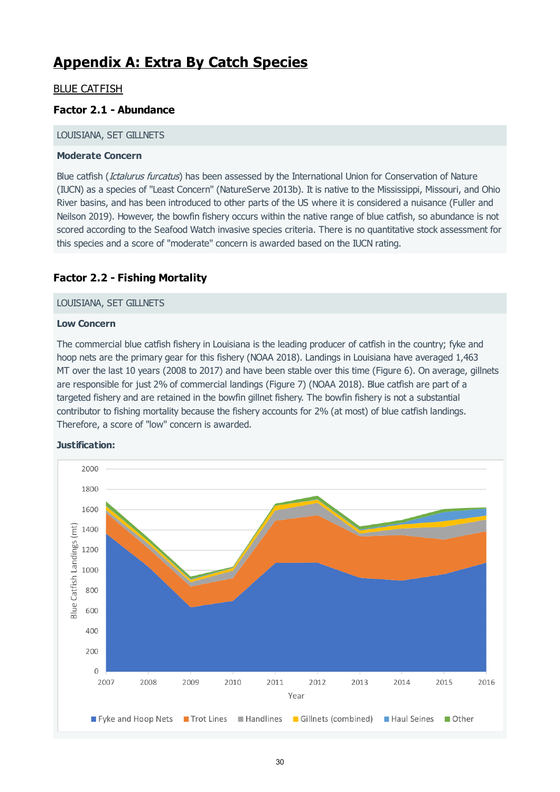# **Appendix A: Extra By Catch Species**

# BLUE CATFISH

# **Factor 2.1 - Abundance**

#### LOUISIANA, SET GILLNETS

#### **Moderate Concern**

Blue catfish (*Ictalurus furcatus*) has been assessed by the International Union for Conservation of Nature (IUCN) as a species of "Least Concern" (NatureServe 2013b). It is native to the Mississippi, Missouri, and Ohio River basins, and has been introduced to other parts of the US where it is considered a nuisance (Fuller and Neilson 2019). However, the bowfin fishery occurs within the native range of blue catfish, so abundance is not scored according to the Seafood Watch invasive species criteria. There is no quantitative stock assessment for this species and a score of "moderate" concern is awarded based on the IUCN rating.

# **Factor 2.2 - Fishing Mortality**

#### LOUISIANA, SET GILLNETS

#### **Low Concern**

The commercial blue catfish fishery in Louisiana is the leading producer of catfish in the country; fyke and hoop nets are the primary gear for this fishery (NOAA 2018). Landings in Louisiana have averaged 1,463 MT over the last 10 years (2008 to 2017) and have been stable over this time (Figure 6). On average, gillnets are responsible for just 2% of commercial landings (Figure 7) (NOAA 2018). Blue catfish are part of a targeted fishery and are retained in the bowfin gillnet fishery. The bowfin fishery is not a substantial contributor to fishing mortality because the fishery accounts for 2% (at most) of blue catfish landings. Therefore, a score of "low" concern is awarded.



#### **Justification:**